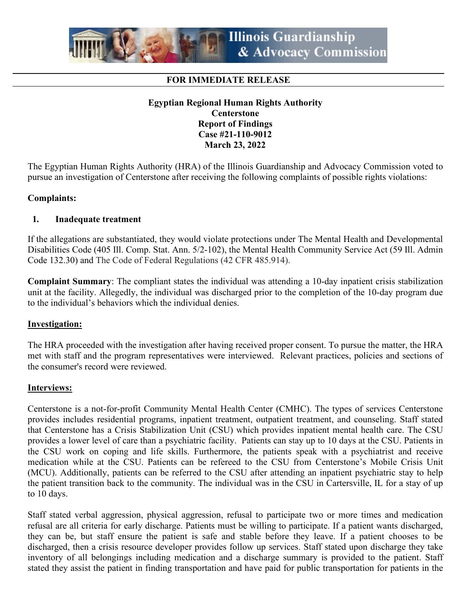

### **FOR IMMEDIATE RELEASE**

### **Egyptian Regional Human Rights Authority Centerstone Report of Findings Case #21-110-9012 March 23, 2022**

The Egyptian Human Rights Authority (HRA) of the Illinois Guardianship and Advocacy Commission voted to pursue an investigation of Centerstone after receiving the following complaints of possible rights violations:

#### **Complaints:**

#### **1. Inadequate treatment**

If the allegations are substantiated, they would violate protections under The Mental Health and Developmental Disabilities Code (405 Ill. Comp. Stat. Ann. 5/2-102), the Mental Health Community Service Act (59 Ill. Admin Code 132.30) and The Code of Federal Regulations (42 CFR 485.914).

**Complaint Summary**: The compliant states the individual was attending a 10-day inpatient crisis stabilization unit at the facility. Allegedly, the individual was discharged prior to the completion of the 10-day program due to the individual's behaviors which the individual denies.

#### **Investigation:**

The HRA proceeded with the investigation after having received proper consent. To pursue the matter, the HRA met with staff and the program representatives were interviewed. Relevant practices, policies and sections of the consumer's record were reviewed.

#### **Interviews:**

Centerstone is a not-for-profit Community Mental Health Center (CMHC). The types of services Centerstone provides includes residential programs, inpatient treatment, outpatient treatment, and counseling. Staff stated that Centerstone has a Crisis Stabilization Unit (CSU) which provides inpatient mental health care. The CSU provides a lower level of care than a psychiatric facility. Patients can stay up to 10 days at the CSU. Patients in the CSU work on coping and life skills. Furthermore, the patients speak with a psychiatrist and receive medication while at the CSU. Patients can be refereed to the CSU from Centerstone's Mobile Crisis Unit (MCU). Additionally, patients can be referred to the CSU after attending an inpatient psychiatric stay to help the patient transition back to the community. The individual was in the CSU in Cartersville, IL for a stay of up to 10 days.

Staff stated verbal aggression, physical aggression, refusal to participate two or more times and medication refusal are all criteria for early discharge. Patients must be willing to participate. If a patient wants discharged, they can be, but staff ensure the patient is safe and stable before they leave. If a patient chooses to be discharged, then a crisis resource developer provides follow up services. Staff stated upon discharge they take inventory of all belongings including medication and a discharge summary is provided to the patient. Staff stated they assist the patient in finding transportation and have paid for public transportation for patients in the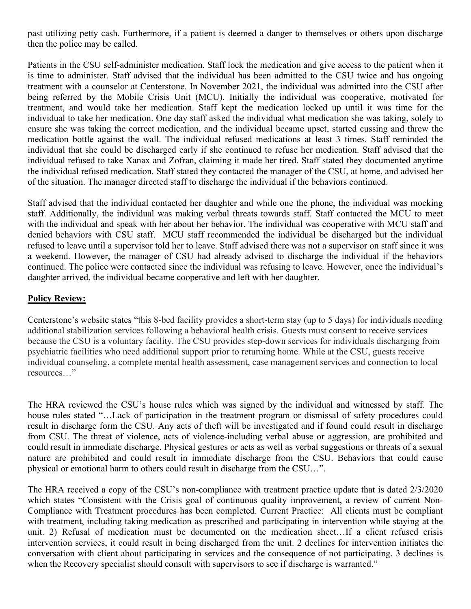past utilizing petty cash. Furthermore, if a patient is deemed a danger to themselves or others upon discharge then the police may be called.

Patients in the CSU self-administer medication. Staff lock the medication and give access to the patient when it is time to administer. Staff advised that the individual has been admitted to the CSU twice and has ongoing treatment with a counselor at Centerstone. In November 2021, the individual was admitted into the CSU after being referred by the Mobile Crisis Unit (MCU). Initially the individual was cooperative, motivated for treatment, and would take her medication. Staff kept the medication locked up until it was time for the individual to take her medication. One day staff asked the individual what medication she was taking, solely to ensure she was taking the correct medication, and the individual became upset, started cussing and threw the medication bottle against the wall. The individual refused medications at least 3 times. Staff reminded the individual that she could be discharged early if she continued to refuse her medication. Staff advised that the individual refused to take Xanax and Zofran, claiming it made her tired. Staff stated they documented anytime the individual refused medication. Staff stated they contacted the manager of the CSU, at home, and advised her of the situation. The manager directed staff to discharge the individual if the behaviors continued.

Staff advised that the individual contacted her daughter and while one the phone, the individual was mocking staff. Additionally, the individual was making verbal threats towards staff. Staff contacted the MCU to meet with the individual and speak with her about her behavior. The individual was cooperative with MCU staff and denied behaviors with CSU staff. MCU staff recommended the individual be discharged but the individual refused to leave until a supervisor told her to leave. Staff advised there was not a supervisor on staff since it was a weekend. However, the manager of CSU had already advised to discharge the individual if the behaviors continued. The police were contacted since the individual was refusing to leave. However, once the individual's daughter arrived, the individual became cooperative and left with her daughter.

### **Policy Review:**

Centerstone's website states "this 8-bed facility provides a short-term stay (up to 5 days) for individuals needing additional stabilization services following a behavioral health crisis. Guests must consent to receive services because the CSU is a voluntary facility. The CSU provides step-down services for individuals discharging from psychiatric facilities who need additional support prior to returning home. While at the CSU, guests receive individual counseling, a complete mental health assessment, case management services and connection to local resources…"

The HRA reviewed the CSU's house rules which was signed by the individual and witnessed by staff. The house rules stated "...Lack of participation in the treatment program or dismissal of safety procedures could result in discharge form the CSU. Any acts of theft will be investigated and if found could result in discharge from CSU. The threat of violence, acts of violence-including verbal abuse or aggression, are prohibited and could result in immediate discharge. Physical gestures or acts as well as verbal suggestions or threats of a sexual nature are prohibited and could result in immediate discharge from the CSU. Behaviors that could cause physical or emotional harm to others could result in discharge from the CSU…".

The HRA received a copy of the CSU's non-compliance with treatment practice update that is dated 2/3/2020 which states "Consistent with the Crisis goal of continuous quality improvement, a review of current Non-Compliance with Treatment procedures has been completed. Current Practice: All clients must be compliant with treatment, including taking medication as prescribed and participating in intervention while staying at the unit. 2) Refusal of medication must be documented on the medication sheet…If a client refused crisis intervention services, it could result in being discharged from the unit. 2 declines for intervention initiates the conversation with client about participating in services and the consequence of not participating. 3 declines is when the Recovery specialist should consult with supervisors to see if discharge is warranted."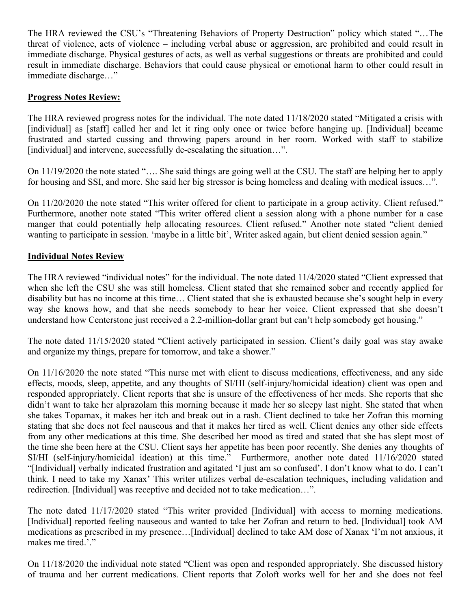The HRA reviewed the CSU's "Threatening Behaviors of Property Destruction" policy which stated "…The threat of violence, acts of violence – including verbal abuse or aggression, are prohibited and could result in immediate discharge. Physical gestures of acts, as well as verbal suggestions or threats are prohibited and could result in immediate discharge. Behaviors that could cause physical or emotional harm to other could result in immediate discharge…"

# **Progress Notes Review:**

The HRA reviewed progress notes for the individual. The note dated 11/18/2020 stated "Mitigated a crisis with [individual] as [staff] called her and let it ring only once or twice before hanging up. [Individual] became frustrated and started cussing and throwing papers around in her room. Worked with staff to stabilize [individual] and intervene, successfully de-escalating the situation...".

On 11/19/2020 the note stated "…. She said things are going well at the CSU. The staff are helping her to apply for housing and SSI, and more. She said her big stressor is being homeless and dealing with medical issues…".

On 11/20/2020 the note stated "This writer offered for client to participate in a group activity. Client refused." Furthermore, another note stated "This writer offered client a session along with a phone number for a case manger that could potentially help allocating resources. Client refused." Another note stated "client denied wanting to participate in session. 'maybe in a little bit', Writer asked again, but client denied session again."

# **Individual Notes Review**

The HRA reviewed "individual notes" for the individual. The note dated 11/4/2020 stated "Client expressed that when she left the CSU she was still homeless. Client stated that she remained sober and recently applied for disability but has no income at this time… Client stated that she is exhausted because she's sought help in every way she knows how, and that she needs somebody to hear her voice. Client expressed that she doesn't understand how Centerstone just received a 2.2-million-dollar grant but can't help somebody get housing."

The note dated 11/15/2020 stated "Client actively participated in session. Client's daily goal was stay awake and organize my things, prepare for tomorrow, and take a shower."

On 11/16/2020 the note stated "This nurse met with client to discuss medications, effectiveness, and any side effects, moods, sleep, appetite, and any thoughts of SI/HI (self-injury/homicidal ideation) client was open and responded appropriately. Client reports that she is unsure of the effectiveness of her meds. She reports that she didn't want to take her alprazolam this morning because it made her so sleepy last night. She stated that when she takes Topamax, it makes her itch and break out in a rash. Client declined to take her Zofran this morning stating that she does not feel nauseous and that it makes her tired as well. Client denies any other side effects from any other medications at this time. She described her mood as tired and stated that she has slept most of the time she been here at the CSU. Client says her appetite has been poor recently. She denies any thoughts of SI/HI (self-injury/homicidal ideation) at this time." Furthermore, another note dated 11/16/2020 stated "[Individual] verbally indicated frustration and agitated 'I just am so confused'. I don't know what to do. I can't think. I need to take my Xanax' This writer utilizes verbal de-escalation techniques, including validation and redirection. [Individual] was receptive and decided not to take medication…".

The note dated 11/17/2020 stated "This writer provided [Individual] with access to morning medications. [Individual] reported feeling nauseous and wanted to take her Zofran and return to bed. [Individual] took AM medications as prescribed in my presence…[Individual] declined to take AM dose of Xanax 'I'm not anxious, it makes me tired.'."

On 11/18/2020 the individual note stated "Client was open and responded appropriately. She discussed history of trauma and her current medications. Client reports that Zoloft works well for her and she does not feel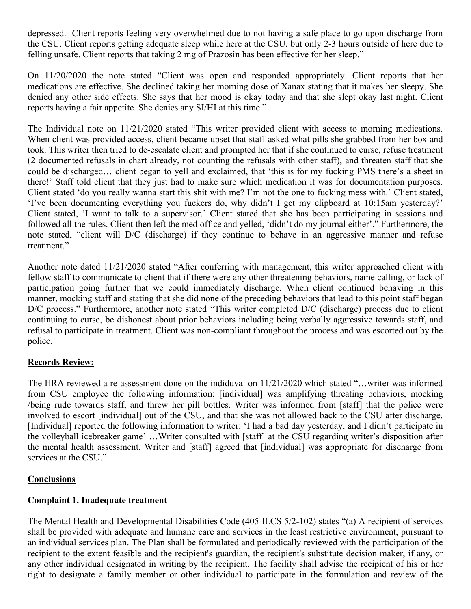depressed. Client reports feeling very overwhelmed due to not having a safe place to go upon discharge from the CSU. Client reports getting adequate sleep while here at the CSU, but only 2-3 hours outside of here due to felling unsafe. Client reports that taking 2 mg of Prazosin has been effective for her sleep."

On 11/20/2020 the note stated "Client was open and responded appropriately. Client reports that her medications are effective. She declined taking her morning dose of Xanax stating that it makes her sleepy. She denied any other side effects. She says that her mood is okay today and that she slept okay last night. Client reports having a fair appetite. She denies any SI/HI at this time."

The Individual note on 11/21/2020 stated "This writer provided client with access to morning medications. When client was provided access, client became upset that staff asked what pills she grabbed from her box and took. This writer then tried to de-escalate client and prompted her that if she continued to curse, refuse treatment (2 documented refusals in chart already, not counting the refusals with other staff), and threaten staff that she could be discharged… client began to yell and exclaimed, that 'this is for my fucking PMS there's a sheet in there!' Staff told client that they just had to make sure which medication it was for documentation purposes. Client stated 'do you really wanna start this shit with me? I'm not the one to fucking mess with.' Client stated, 'I've been documenting everything you fuckers do, why didn't I get my clipboard at 10:15am yesterday?' Client stated, 'I want to talk to a supervisor.' Client stated that she has been participating in sessions and followed all the rules. Client then left the med office and yelled, 'didn't do my journal either'." Furthermore, the note stated, "client will D/C (discharge) if they continue to behave in an aggressive manner and refuse treatment."

Another note dated 11/21/2020 stated "After conferring with management, this writer approached client with fellow staff to communicate to client that if there were any other threatening behaviors, name calling, or lack of participation going further that we could immediately discharge. When client continued behaving in this manner, mocking staff and stating that she did none of the preceding behaviors that lead to this point staff began D/C process." Furthermore, another note stated "This writer completed D/C (discharge) process due to client continuing to curse, be dishonest about prior behaviors including being verbally aggressive towards staff, and refusal to participate in treatment. Client was non-compliant throughout the process and was escorted out by the police.

# **Records Review:**

The HRA reviewed a re-assessment done on the indiduval on 11/21/2020 which stated "…writer was informed from CSU employee the following information: [individual] was amplifying threating behaviors, mocking /being rude towards staff, and threw her pill bottles. Writer was informed from [staff] that the police were involved to escort [individual] out of the CSU, and that she was not allowed back to the CSU after discharge. [Individual] reported the following information to writer: 'I had a bad day yesterday, and I didn't participate in the volleyball icebreaker game' …Writer consulted with [staff] at the CSU regarding writer's disposition after the mental health assessment. Writer and [staff] agreed that [individual] was appropriate for discharge from services at the CSU."

# **Conclusions**

# **Complaint 1. Inadequate treatment**

The Mental Health and Developmental Disabilities Code (405 ILCS 5/2-102) states "(a) A recipient of services shall be provided with adequate and humane care and services in the least restrictive environment, pursuant to an individual services plan. The Plan shall be formulated and periodically reviewed with the participation of the recipient to the extent feasible and the recipient's guardian, the recipient's substitute decision maker, if any, or any other individual designated in writing by the recipient. The facility shall advise the recipient of his or her right to designate a family member or other individual to participate in the formulation and review of the